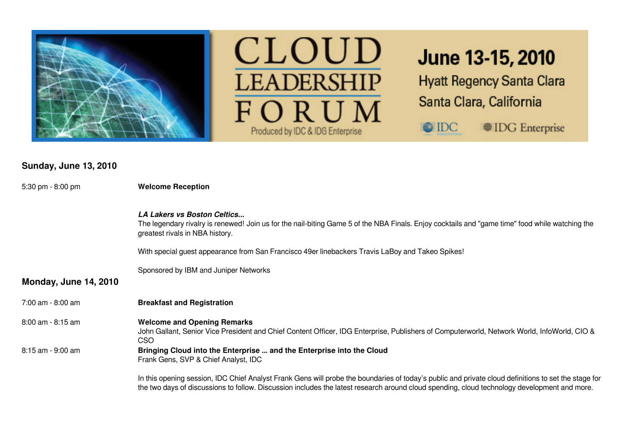



# June 13-15, 2010

**Hyatt Regency Santa Clara** Santa Clara, California

**IDG** Enterprise

 $\bigcirc$  IDC

**Sunday, June 13, 2010**

| 5:30 pm $-8:00$ pm           | <b>Welcome Reception</b>                                                                                                                                                                                                                                                                             |  |  |  |
|------------------------------|------------------------------------------------------------------------------------------------------------------------------------------------------------------------------------------------------------------------------------------------------------------------------------------------------|--|--|--|
|                              | <b>LA Lakers vs Boston Celtics</b><br>The legendary rivalry is renewed! Join us for the nail-biting Game 5 of the NBA Finals. Enjoy cocktails and "game time" food while watching the<br>greatest rivals in NBA history.                                                                             |  |  |  |
|                              | With special guest appearance from San Francisco 49er linebackers Travis LaBoy and Takeo Spikes!                                                                                                                                                                                                     |  |  |  |
|                              | Sponsored by IBM and Juniper Networks                                                                                                                                                                                                                                                                |  |  |  |
| <b>Monday, June 14, 2010</b> |                                                                                                                                                                                                                                                                                                      |  |  |  |
| 7:00 am - 8:00 am            | <b>Breakfast and Registration</b>                                                                                                                                                                                                                                                                    |  |  |  |
| $8:00$ am - $8:15$ am        | <b>Welcome and Opening Remarks</b><br>John Gallant, Senior Vice President and Chief Content Officer, IDG Enterprise, Publishers of Computerworld, Network World, InfoWorld, CIO &<br>CSO                                                                                                             |  |  |  |
| 8:15 am - 9:00 am            | Bringing Cloud into the Enterprise  and the Enterprise into the Cloud<br>Frank Gens, SVP & Chief Analyst, IDC                                                                                                                                                                                        |  |  |  |
|                              | In this opening session, IDC Chief Analyst Frank Gens will probe the boundaries of today's public and private cloud definitions to set the stage for<br>the two days of discussions to follow. Discussion includes the latest research around cloud spending, cloud technology development and more. |  |  |  |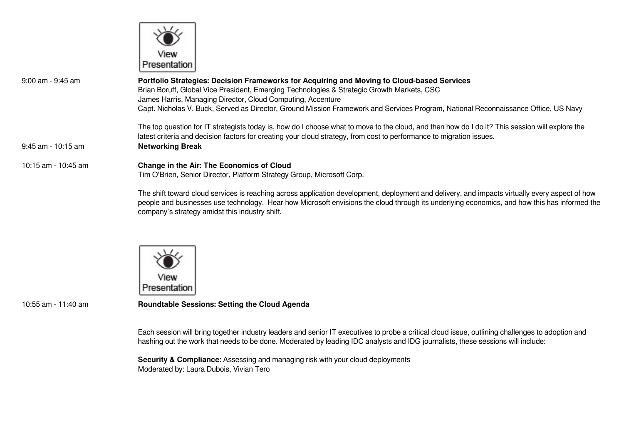

| $9:00$ am - $9:45$ am | Portfolio Strategies: Decision Frameworks for Acquiring and Moving to Cloud-based Services<br>Brian Boruff, Global Vice President, Emerging Technologies & Strategic Growth Markets, CSC<br>James Harris, Managing Director, Cloud Computing, Accenture                 |  |  |  |
|-----------------------|-------------------------------------------------------------------------------------------------------------------------------------------------------------------------------------------------------------------------------------------------------------------------|--|--|--|
|                       | Capt. Nicholas V. Buck, Served as Director, Ground Mission Framework and Services Program, National Reconnaissance Office, US Navy                                                                                                                                      |  |  |  |
|                       | The top question for IT strategists today is, how do I choose what to move to the cloud, and then how do I do it? This session will explore the<br>latest criteria and decision factors for creating your cloud strategy, from cost to performance to migration issues. |  |  |  |
| $9:45$ am - 10:15 am  | <b>Networking Break</b>                                                                                                                                                                                                                                                 |  |  |  |
| 10:15 am - 10:45 am   | Change in the Air: The Economics of Cloud<br>Tim O'Brien, Senior Director, Platform Strategy Group, Microsoft Corp.                                                                                                                                                     |  |  |  |
|                       | The shift toward cloud services is reaching across application development, deplovment and delivery, and impacts virtually every aspect of ho                                                                                                                           |  |  |  |

The shift toward cloud services is reaching across application development, deployment and delivery, and impacts virtually every aspect of how people and businesses use technology. Hear how Microsoft envisions the cloud through its underlying economics, and how this has informed the company's strategy amidst this industry shift.



10:55 am - 11:40 am **Roundtable Sessions: Setting the Cloud Agenda**

Each session will bring together industry leaders and senior IT executives to probe a critical cloud issue, outlining challenges to adoption and hashing out the work that needs to be done. Moderated by leading IDC analysts and IDG journalists, these sessions will include:

**Security & Compliance:** Assessing and managing risk with your cloud deployments Moderated by: Laura Dubois, Vivian Tero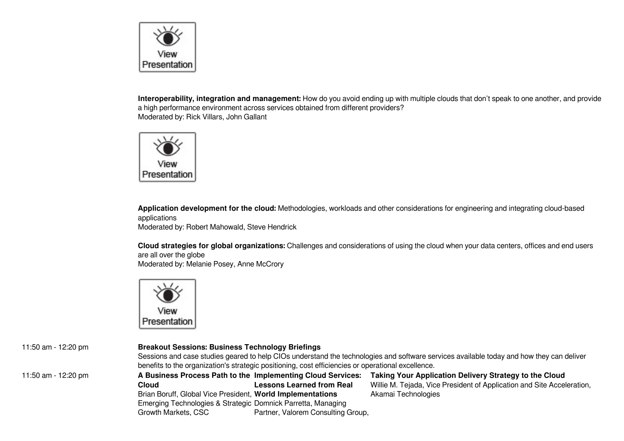

**Interoperability, integration and management:** How do you avoid ending up with multiple clouds that don't speak to one another, and provide a high performance environment across services obtained from different providers? Moderated by: Rick Villars, John Gallant



**Application development for the cloud:** Methodologies, workloads and other considerations for engineering and integrating cloud-based applications

Moderated by: Robert Mahowald, Steve Hendrick

**Cloud strategies for global organizations:** Challenges and considerations of using the cloud when your data centers, offices and end users are all over the globe Moderated by: Melanie Posey, Anne McCrory



#### 11:50 am - 12:20 pm **Breakout Sessions: Business Technology Briefings**

Sessions and case studies geared to help CIOs understand the technologies and software services available today and how they can deliver benefits to the organization's strategic positioning, cost efficiencies or operational excellence.

11:50 am - 12:20 pm **A Business Process Path to the Implementing Cloud Services: Cloud** Brian Boruff, Global Vice President, **World Implementations** Emerging Technologies & Strategic Domnick Parretta, Managing Growth Markets, CSC **Lessons Learned from Real** Partner, Valorem Consulting Group,

**Taking Your Application Delivery Strategy to the Cloud** Willie M. Tejada, Vice President of Application and Site Acceleration, Akamai Technologies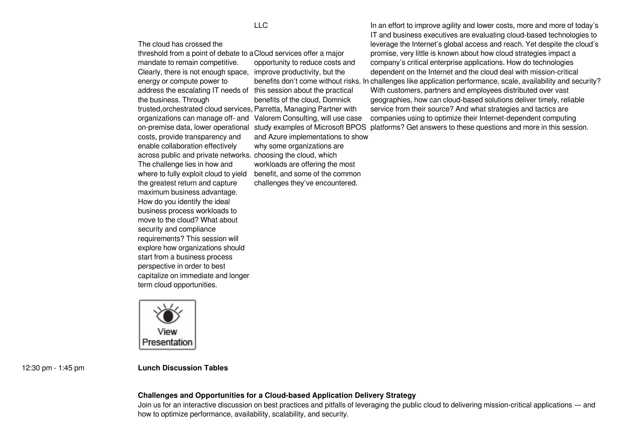The cloud has crossed the

threshold from a point of debate to a Cloud services offer a major mandate to remain competitive. Clearly, there is not enough space, improve productivity, but the energy or compute power to address the escalating IT needs of this session about the practical the business. Through trusted,orchestrated cloud services, Parretta, Managing Partner with organizations can manage off- and Valorem Consulting, will use case costs, provide transparency and enable collaboration effectively across public and private networks. choosing the cloud, which The challenge lies in how and where to fully exploit cloud to yield the greatest return and capture maximum business advantage. How do you identify the ideal business process workloads to move to the cloud? What about security and compliance requirements? This session will explore how organizations should start from a business process perspective in order to best capitalize on immediate and longer term cloud opportunities.

opportunity to reduce costs and benefits of the cloud, Domnick and Azure implementations to show why some organizations are workloads are offering the most benefit, and some of the common challenges they've encountered.

on-premise data, lower operational study examples of Microsoft BPOS platforms? Get answers to these questions and more in this session. benefits don't come without risks. In challenges like application performance, scale, availability and security? In an effort to improve agility and lower costs, more and more of today's IT and business executives are evaluating cloud-based technologies to leverage the Internet's global access and reach. Yet despite the cloud's promise, very little is known about how cloud strategies impact a company's critical enterprise applications. How do technologies dependent on the Internet and the cloud deal with mission-critical With customers, partners and employees distributed over vast geographies, how can cloud-based solutions deliver timely, reliable service from their source? And what strategies and tactics are companies using to optimize their Internet-dependent computing

Presentation

12:30 pm - 1:45 pm **Lunch Discussion Tables**

#### **Challenges and Opportunities for a Cloud-based Application Delivery Strategy**

Join us for an interactive discussion on best practices and pitfalls of leveraging the public cloud to delivering mission-critical applications — and how to optimize performance, availability, scalability, and security.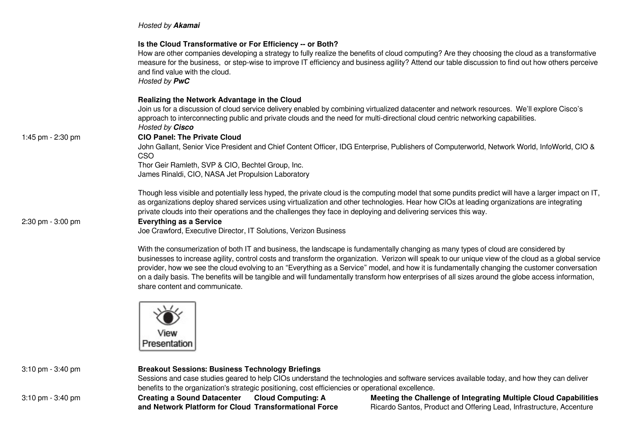### *Hosted by Akamai*

|                   | Is the Cloud Transformative or For Efficiency -- or Both?<br>How are other companies developing a strategy to fully realize the benefits of cloud computing? Are they choosing the cloud as a transformative<br>measure for the business, or step-wise to improve IT efficiency and business agility? Attend our table discussion to find out how others perceive<br>and find value with the cloud.<br>Hosted by <b>PwC</b>                                                                                                  |
|-------------------|------------------------------------------------------------------------------------------------------------------------------------------------------------------------------------------------------------------------------------------------------------------------------------------------------------------------------------------------------------------------------------------------------------------------------------------------------------------------------------------------------------------------------|
|                   | Realizing the Network Advantage in the Cloud<br>Join us for a discussion of cloud service delivery enabled by combining virtualized datacenter and network resources. We'll explore Cisco's<br>approach to interconnecting public and private clouds and the need for multi-directional cloud centric networking capabilities.<br>Hosted by Cisco                                                                                                                                                                            |
| 1:45 pm - 2:30 pm | <b>CIO Panel: The Private Cloud</b><br>John Gallant, Senior Vice President and Chief Content Officer, IDG Enterprise, Publishers of Computerworld, Network World, InfoWorld, CIO &<br>CSO<br>Thor Geir Ramleth, SVP & CIO, Bechtel Group, Inc.<br>James Rinaldi, CIO, NASA Jet Propulsion Laboratory                                                                                                                                                                                                                         |
| 2:30 pm - 3:00 pm | Though less visible and potentially less hyped, the private cloud is the computing model that some pundits predict will have a larger impact on IT,<br>as organizations deploy shared services using virtualization and other technologies. Hear how CIOs at leading organizations are integrating<br>private clouds into their operations and the challenges they face in deploying and delivering services this way.<br><b>Everything as a Service</b><br>Joe Crawford, Executive Director, IT Solutions, Verizon Business |
|                   | With the consumerization of both IT and business, the landscape is fundamentally changing as many types of cloud are considered by<br>businesses to increase agility, control costs and transform the organization. Verizon will speak to our unique view of the cloud as a global service                                                                                                                                                                                                                                   |

provider, how we see the cloud evolving to an "Everything as a Service" model, and how it is fundamentally changing the customer conversation on a daily basis. The benefits will be tangible and will fundamentally transform how enterprises of all sizes around the globe access information, share content and communicate.



| 3:10 pm - 3:40 pm | <b>Breakout Sessions: Business Technology Briefings</b>                                                                                   |                                                                                                    |                                                                      |  |
|-------------------|-------------------------------------------------------------------------------------------------------------------------------------------|----------------------------------------------------------------------------------------------------|----------------------------------------------------------------------|--|
|                   | Sessions and case studies geared to help CIOs understand the technologies and software services available today, and how they can deliver |                                                                                                    |                                                                      |  |
|                   |                                                                                                                                           | benefits to the organization's strategic positioning, cost efficiencies or operational excellence. |                                                                      |  |
| 3:10 pm - 3:40 pm | <b>Creating a Sound Datacenter</b>                                                                                                        | <b>Cloud Computing: A</b>                                                                          | Meeting the Challenge of Integrating Multiple Cloud Capabilities     |  |
|                   | and Network Platform for Cloud Transformational Force                                                                                     |                                                                                                    | Ricardo Santos, Product and Offering Lead, Infrastructure, Accenture |  |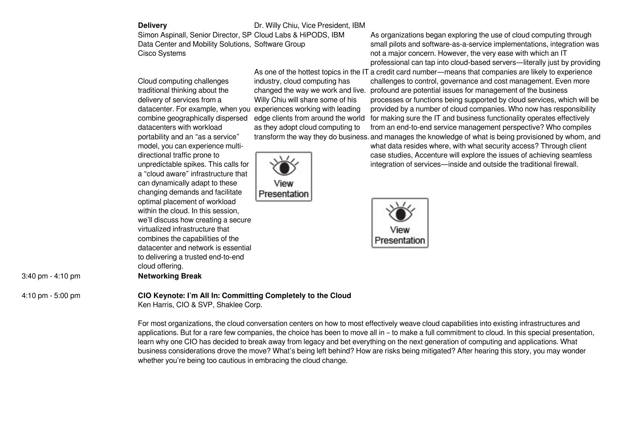| elivery |  |  |
|---------|--|--|
|         |  |  |

## Dr. Willy Chiu, Vice President, IBM

Simon Aspinall, Senior Director, SP Cloud Labs & HiPODS, IBM Data Center and Mobility Solutions, Software Group Cisco Systems

Cloud computing challenges traditional thinking about the delivery of services from a datacenter. For example, when you experiences working with leading combine geographically dispersed datacenters with workload portability and an "as a service" model, you can experience multidirectional traffic prone to unpredictable spikes. This calls for a "cloud aware" infrastructure that can dynamically adapt to these changing demands and facilitate optimal placement of workload within the cloud. In this session, we'll discuss how creating a secure virtualized infrastructure that combines the capabilities of the datacenter and network is essential to delivering a trusted end-to-end cloud offering. 3:40 pm - 4:10 pm **Networking Break**

industry, cloud computing has Willy Chiu will share some of his as they adopt cloud computing to



As organizations began exploring the use of cloud computing through small pilots and software-as-a-service implementations, integration was not a major concern. However, the very ease with which an IT professional can tap into cloud-based servers—literally just by providing

As one of the hottest topics in the IT a credit card number—means that companies are likely to experience changed the way we work and live. profound are potential issues for management of the business edge clients from around the world for making sure the IT and business functionality operates effectively transform the way they do business. and manages the knowledge of what is being provisioned by whom, and challenges to control, governance and cost management. Even more processes or functions being supported by cloud services, which will be provided by a number of cloud companies. Who now has responsibility from an end-to-end service management perspective? Who compiles

> what data resides where, with what security access? Through client case studies, Accenture will explore the issues of achieving seamless integration of services—inside and outside the traditional firewall.



#### 4:10 pm - 5:00 pm **CIO Keynote: I'm All In: Committing Completely to the Cloud**

Ken Harris, CIO & SVP, Shaklee Corp.

For most organizations, the cloud conversation centers on how to most effectively weave cloud capabilities into existing infrastructures and applications. But for a rare few companies, the choice has been to move all in – to make a full commitment to cloud. In this special presentation, learn why one CIO has decided to break away from legacy and bet everything on the next generation of computing and applications. What business considerations drove the move? What's being left behind? How are risks being mitigated? After hearing this story, you may wonder whether you're being too cautious in embracing the cloud change.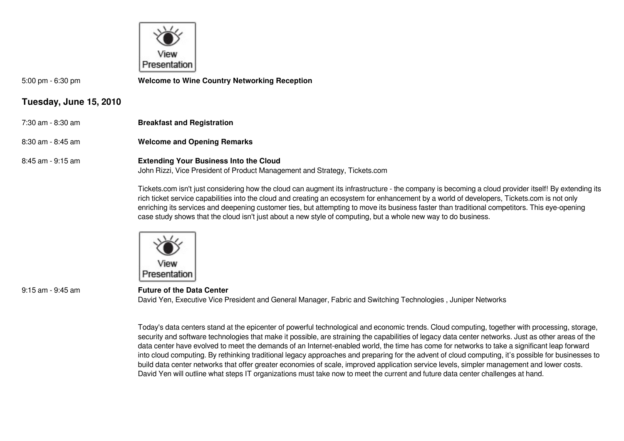

5:00 pm - 6:30 pm **Welcome to Wine Country Networking Reception**

# **Tuesday, June 15, 2010**

- 7:30 am 8:30 am **Breakfast and Registration**
- 8:30 am 8:45 am **Welcome and Opening Remarks**

# 8:45 am - 9:15 am **Extending Your Business Into the Cloud**

John Rizzi, Vice President of Product Management and Strategy, Tickets.com

Tickets.com isn't just considering how the cloud can augment its infrastructure - the company is becoming a cloud provider itself! By extending its rich ticket service capabilities into the cloud and creating an ecosystem for enhancement by a world of developers, Tickets.com is not only enriching its services and deepening customer ties, but attempting to move its business faster than traditional competitors. This eye-opening case study shows that the cloud isn't just about a new style of computing, but a whole new way to do business.



9:15 am - 9:45 am **Future of the Data Center** David Yen, Executive Vice President and General Manager, Fabric and Switching Technologies , Juniper Networks

Today's data centers stand at the epicenter of powerful technological and economic trends. Cloud computing, together with processing, storage, security and software technologies that make it possible, are straining the capabilities of legacy data center networks. Just as other areas of the data center have evolved to meet the demands of an Internet-enabled world, the time has come for networks to take a significant leap forward into cloud computing. By rethinking traditional legacy approaches and preparing for the advent of cloud computing, it's possible for businesses to build data center networks that offer greater economies of scale, improved application service levels, simpler management and lower costs. David Yen will outline what steps IT organizations must take now to meet the current and future data center challenges at hand.